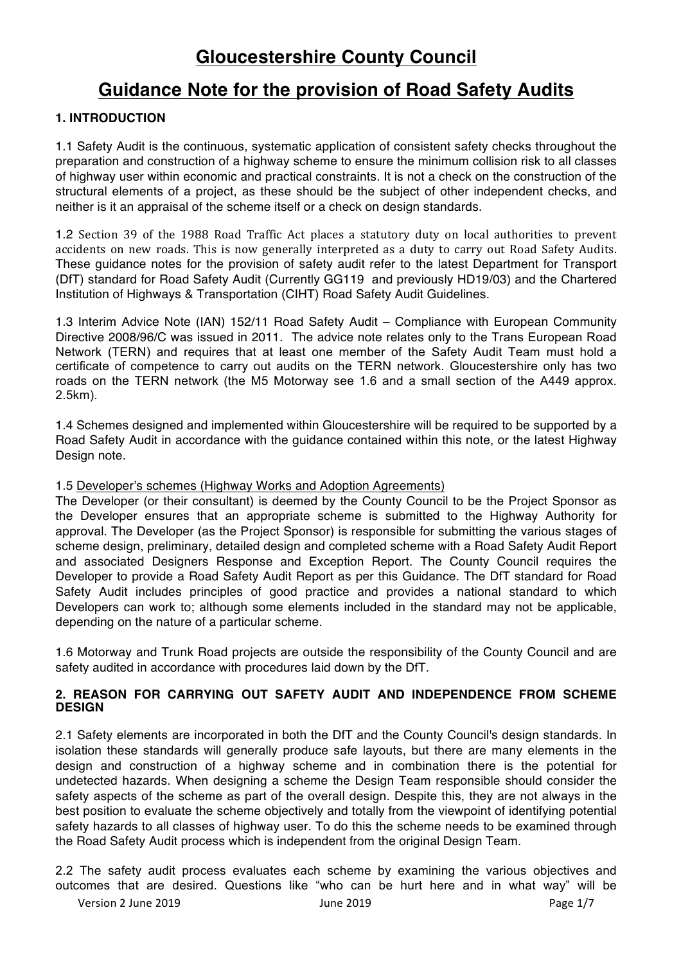# **Gloucestershire County Council**

# **Guidance Note for the provision of Road Safety Audits**

# **1. INTRODUCTION**

1.1 Safety Audit is the continuous, systematic application of consistent safety checks throughout the preparation and construction of a highway scheme to ensure the minimum collision risk to all classes of highway user within economic and practical constraints. It is not a check on the construction of the structural elements of a project, as these should be the subject of other independent checks, and neither is it an appraisal of the scheme itself or a check on design standards.

1.2 Section 39 of the 1988 Road Traffic Act places a statutory duty on local authorities to prevent accidents on new roads. This is now generally interpreted as a duty to carry out Road Safety Audits. These guidance notes for the provision of safety audit refer to the latest Department for Transport (DfT) standard for Road Safety Audit (Currently GG119 and previously HD19/03) and the Chartered Institution of Highways & Transportation (CIHT) Road Safety Audit Guidelines.

1.3 Interim Advice Note (IAN) 152/11 Road Safety Audit – Compliance with European Community Directive 2008/96/C was issued in 2011. The advice note relates only to the Trans European Road Network (TERN) and requires that at least one member of the Safety Audit Team must hold a certificate of competence to carry out audits on the TERN network. Gloucestershire only has two roads on the TERN network (the M5 Motorway see 1.6 and a small section of the A449 approx. 2.5km).

1.4 Schemes designed and implemented within Gloucestershire will be required to be supported by a Road Safety Audit in accordance with the guidance contained within this note, or the latest Highway Design note.

### 1.5 Developer's schemes (Highway Works and Adoption Agreements)

The Developer (or their consultant) is deemed by the County Council to be the Project Sponsor as the Developer ensures that an appropriate scheme is submitted to the Highway Authority for approval. The Developer (as the Project Sponsor) is responsible for submitting the various stages of scheme design, preliminary, detailed design and completed scheme with a Road Safety Audit Report and associated Designers Response and Exception Report. The County Council requires the Developer to provide a Road Safety Audit Report as per this Guidance. The DfT standard for Road Safety Audit includes principles of good practice and provides a national standard to which Developers can work to; although some elements included in the standard may not be applicable, depending on the nature of a particular scheme.

1.6 Motorway and Trunk Road projects are outside the responsibility of the County Council and are safety audited in accordance with procedures laid down by the DfT.

#### **2. REASON FOR CARRYING OUT SAFETY AUDIT AND INDEPENDENCE FROM SCHEME DESIGN**

2.1 Safety elements are incorporated in both the DfT and the County Council's design standards. In isolation these standards will generally produce safe layouts, but there are many elements in the design and construction of a highway scheme and in combination there is the potential for undetected hazards. When designing a scheme the Design Team responsible should consider the safety aspects of the scheme as part of the overall design. Despite this, they are not always in the best position to evaluate the scheme objectively and totally from the viewpoint of identifying potential safety hazards to all classes of highway user. To do this the scheme needs to be examined through the Road Safety Audit process which is independent from the original Design Team.

2.2 The safety audit process evaluates each scheme by examining the various objectives and outcomes that are desired. Questions like "who can be hurt here and in what way" will be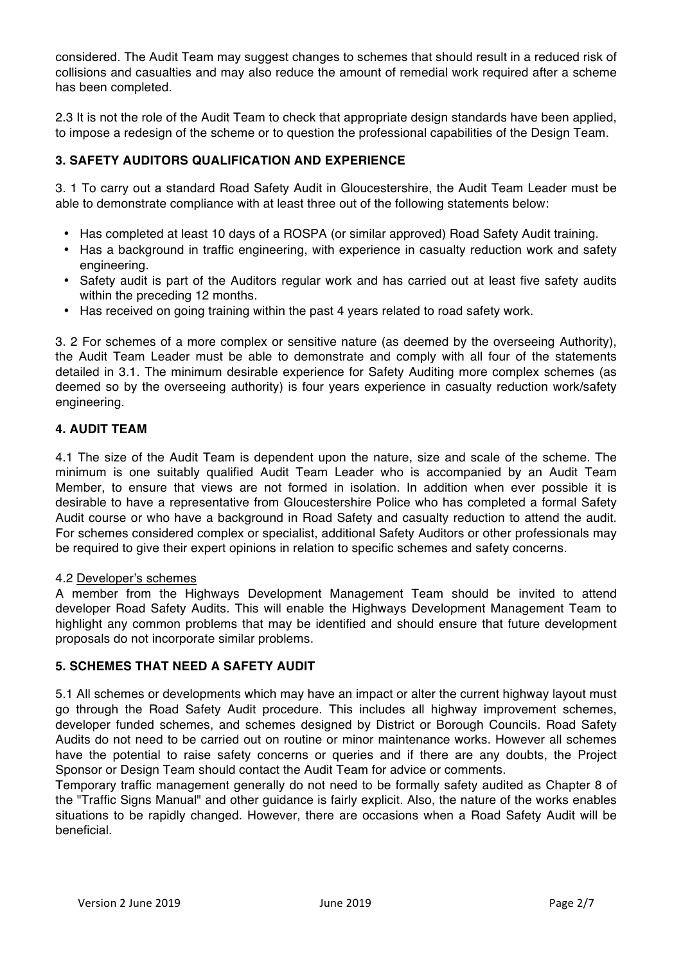considered. The Audit Team may suggest changes to schemes that should result in a reduced risk of collisions and casualties and may also reduce the amount of remedial work required after a scheme has been completed.

2.3 It is not the role of the Audit Team to check that appropriate design standards have been applied, to impose a redesign of the scheme or to question the professional capabilities of the Design Team.

## **3. SAFETY AUDITORS QUALIFICATION AND EXPERIENCE**

3. 1 To carry out a standard Road Safety Audit in Gloucestershire, the Audit Team Leader must be able to demonstrate compliance with at least three out of the following statements below:

- Has completed at least 10 days of a ROSPA (or similar approved) Road Safety Audit training.
- Has a background in traffic engineering, with experience in casualty reduction work and safety engineering.
- Safety audit is part of the Auditors regular work and has carried out at least five safety audits within the preceding 12 months.
- Has received on going training within the past 4 years related to road safety work.

3. 2 For schemes of a more complex or sensitive nature (as deemed by the overseeing Authority), the Audit Team Leader must be able to demonstrate and comply with all four of the statements detailed in 3.1. The minimum desirable experience for Safety Auditing more complex schemes (as deemed so by the overseeing authority) is four years experience in casualty reduction work/safety engineering.

## **4. AUDIT TEAM**

4.1 The size of the Audit Team is dependent upon the nature, size and scale of the scheme. The minimum is one suitably qualified Audit Team Leader who is accompanied by an Audit Team Member, to ensure that views are not formed in isolation. In addition when ever possible it is desirable to have a representative from Gloucestershire Police who has completed a formal Safety Audit course or who have a background in Road Safety and casualty reduction to attend the audit. For schemes considered complex or specialist, additional Safety Auditors or other professionals may be required to give their expert opinions in relation to specific schemes and safety concerns.

## 4.2 Developer's schemes

A member from the Highways Development Management Team should be invited to attend developer Road Safety Audits. This will enable the Highways Development Management Team to highlight any common problems that may be identified and should ensure that future development proposals do not incorporate similar problems.

## **5. SCHEMES THAT NEED A SAFETY AUDIT**

5.1 All schemes or developments which may have an impact or alter the current highway layout must go through the Road Safety Audit procedure. This includes all highway improvement schemes, developer funded schemes, and schemes designed by District or Borough Councils. Road Safety Audits do not need to be carried out on routine or minor maintenance works. However all schemes have the potential to raise safety concerns or queries and if there are any doubts, the Project Sponsor or Design Team should contact the Audit Team for advice or comments.

Temporary traffic management generally do not need to be formally safety audited as Chapter 8 of the "Traffic Signs Manual" and other guidance is fairly explicit. Also, the nature of the works enables situations to be rapidly changed. However, there are occasions when a Road Safety Audit will be beneficial.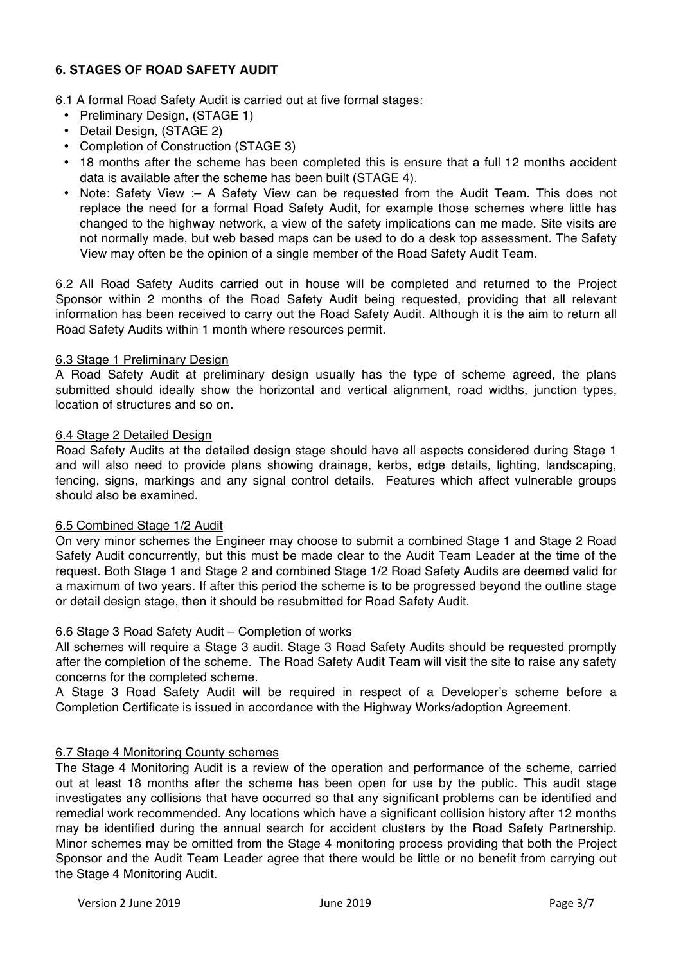# **6. STAGES OF ROAD SAFETY AUDIT**

#### 6.1 A formal Road Safety Audit is carried out at five formal stages:

- Preliminary Design, (STAGE 1)
- Detail Design, (STAGE 2)
- Completion of Construction (STAGE 3)
- 18 months after the scheme has been completed this is ensure that a full 12 months accident data is available after the scheme has been built (STAGE 4).
- Note: Safety View :- A Safety View can be requested from the Audit Team. This does not replace the need for a formal Road Safety Audit, for example those schemes where little has changed to the highway network, a view of the safety implications can me made. Site visits are not normally made, but web based maps can be used to do a desk top assessment. The Safety View may often be the opinion of a single member of the Road Safety Audit Team.

6.2 All Road Safety Audits carried out in house will be completed and returned to the Project Sponsor within 2 months of the Road Safety Audit being requested, providing that all relevant information has been received to carry out the Road Safety Audit. Although it is the aim to return all Road Safety Audits within 1 month where resources permit.

#### 6.3 Stage 1 Preliminary Design

A Road Safety Audit at preliminary design usually has the type of scheme agreed, the plans submitted should ideally show the horizontal and vertical alignment, road widths, junction types, location of structures and so on.

#### 6.4 Stage 2 Detailed Design

Road Safety Audits at the detailed design stage should have all aspects considered during Stage 1 and will also need to provide plans showing drainage, kerbs, edge details, lighting, landscaping, fencing, signs, markings and any signal control details. Features which affect vulnerable groups should also be examined.

#### 6.5 Combined Stage 1/2 Audit

On very minor schemes the Engineer may choose to submit a combined Stage 1 and Stage 2 Road Safety Audit concurrently, but this must be made clear to the Audit Team Leader at the time of the request. Both Stage 1 and Stage 2 and combined Stage 1/2 Road Safety Audits are deemed valid for a maximum of two years. If after this period the scheme is to be progressed beyond the outline stage or detail design stage, then it should be resubmitted for Road Safety Audit.

#### 6.6 Stage 3 Road Safety Audit – Completion of works

All schemes will require a Stage 3 audit. Stage 3 Road Safety Audits should be requested promptly after the completion of the scheme. The Road Safety Audit Team will visit the site to raise any safety concerns for the completed scheme.

A Stage 3 Road Safety Audit will be required in respect of a Developer's scheme before a Completion Certificate is issued in accordance with the Highway Works/adoption Agreement.

## 6.7 Stage 4 Monitoring County schemes

The Stage 4 Monitoring Audit is a review of the operation and performance of the scheme, carried out at least 18 months after the scheme has been open for use by the public. This audit stage investigates any collisions that have occurred so that any significant problems can be identified and remedial work recommended. Any locations which have a significant collision history after 12 months may be identified during the annual search for accident clusters by the Road Safety Partnership. Minor schemes may be omitted from the Stage 4 monitoring process providing that both the Project Sponsor and the Audit Team Leader agree that there would be little or no benefit from carrying out the Stage 4 Monitoring Audit.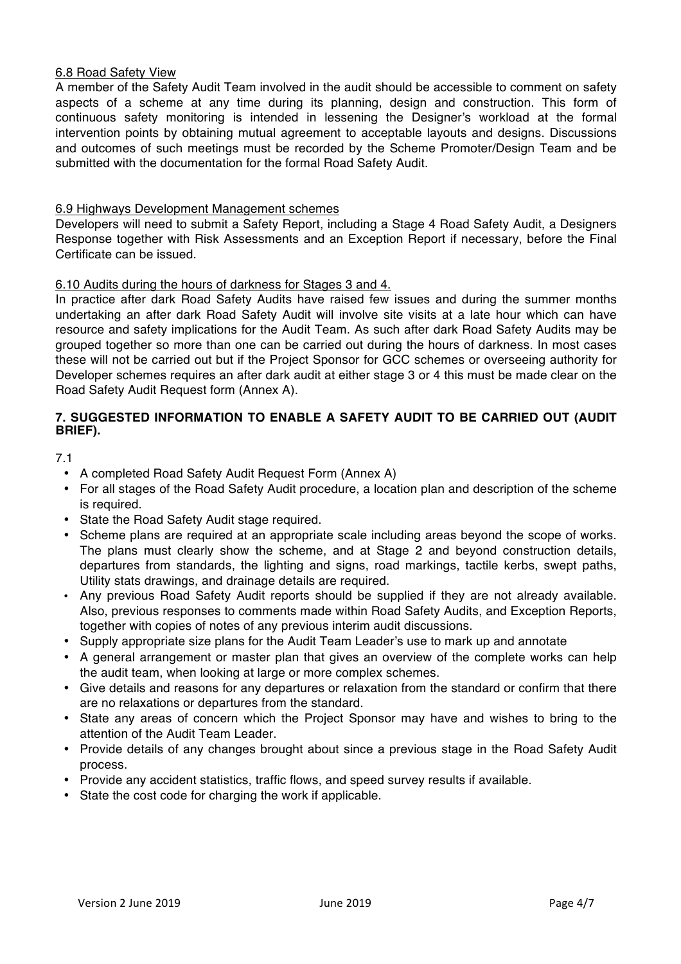#### 6.8 Road Safety View

A member of the Safety Audit Team involved in the audit should be accessible to comment on safety aspects of a scheme at any time during its planning, design and construction. This form of continuous safety monitoring is intended in lessening the Designer's workload at the formal intervention points by obtaining mutual agreement to acceptable layouts and designs. Discussions and outcomes of such meetings must be recorded by the Scheme Promoter/Design Team and be submitted with the documentation for the formal Road Safety Audit.

## 6.9 Highways Development Management schemes

Developers will need to submit a Safety Report, including a Stage 4 Road Safety Audit, a Designers Response together with Risk Assessments and an Exception Report if necessary, before the Final Certificate can be issued.

## 6.10 Audits during the hours of darkness for Stages 3 and 4.

In practice after dark Road Safety Audits have raised few issues and during the summer months undertaking an after dark Road Safety Audit will involve site visits at a late hour which can have resource and safety implications for the Audit Team. As such after dark Road Safety Audits may be grouped together so more than one can be carried out during the hours of darkness. In most cases these will not be carried out but if the Project Sponsor for GCC schemes or overseeing authority for Developer schemes requires an after dark audit at either stage 3 or 4 this must be made clear on the Road Safety Audit Request form (Annex A).

## **7. SUGGESTED INFORMATION TO ENABLE A SAFETY AUDIT TO BE CARRIED OUT (AUDIT BRIEF).**

7.1

- A completed Road Safety Audit Request Form (Annex A)
- For all stages of the Road Safety Audit procedure, a location plan and description of the scheme is required.
- State the Road Safety Audit stage required.
- Scheme plans are required at an appropriate scale including areas beyond the scope of works. The plans must clearly show the scheme, and at Stage 2 and beyond construction details, departures from standards, the lighting and signs, road markings, tactile kerbs, swept paths, Utility stats drawings, and drainage details are required.
- Any previous Road Safety Audit reports should be supplied if they are not already available. Also, previous responses to comments made within Road Safety Audits, and Exception Reports, together with copies of notes of any previous interim audit discussions.
- Supply appropriate size plans for the Audit Team Leader's use to mark up and annotate
- A general arrangement or master plan that gives an overview of the complete works can help the audit team, when looking at large or more complex schemes.
- Give details and reasons for any departures or relaxation from the standard or confirm that there are no relaxations or departures from the standard.
- State any areas of concern which the Project Sponsor may have and wishes to bring to the attention of the Audit Team Leader.
- Provide details of any changes brought about since a previous stage in the Road Safety Audit process.
- Provide any accident statistics, traffic flows, and speed survey results if available.
- State the cost code for charging the work if applicable.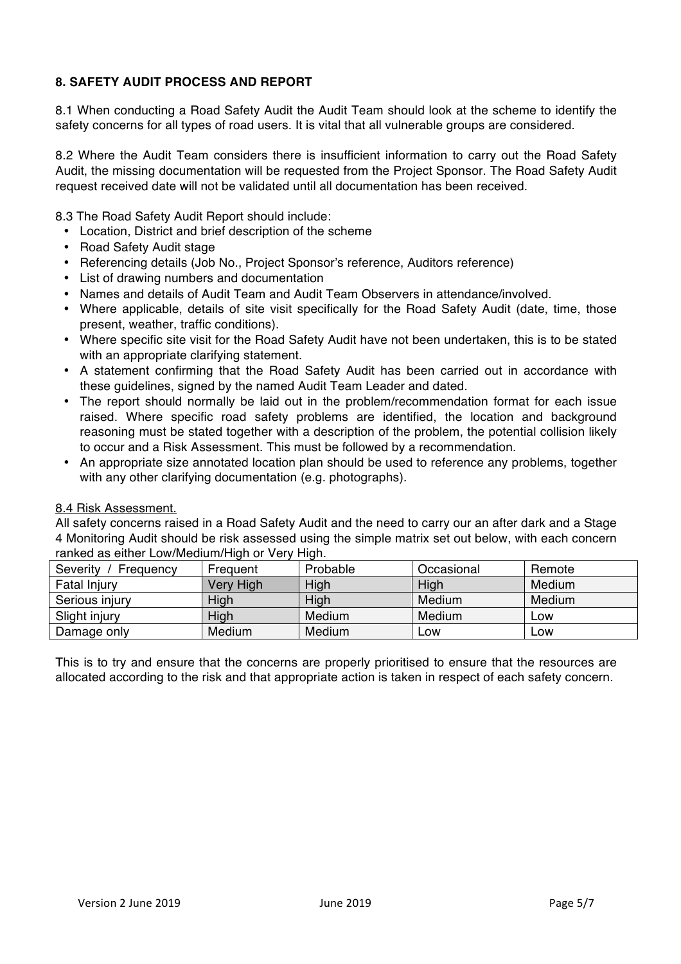## **8. SAFETY AUDIT PROCESS AND REPORT**

8.1 When conducting a Road Safety Audit the Audit Team should look at the scheme to identify the safety concerns for all types of road users. It is vital that all vulnerable groups are considered.

8.2 Where the Audit Team considers there is insufficient information to carry out the Road Safety Audit, the missing documentation will be requested from the Project Sponsor. The Road Safety Audit request received date will not be validated until all documentation has been received.

8.3 The Road Safety Audit Report should include:

- Location, District and brief description of the scheme
- Road Safety Audit stage
- Referencing details (Job No., Project Sponsor's reference, Auditors reference)
- List of drawing numbers and documentation
- Names and details of Audit Team and Audit Team Observers in attendance/involved.
- Where applicable, details of site visit specifically for the Road Safety Audit (date, time, those present, weather, traffic conditions).
- Where specific site visit for the Road Safety Audit have not been undertaken, this is to be stated with an appropriate clarifying statement.
- A statement confirming that the Road Safety Audit has been carried out in accordance with these guidelines, signed by the named Audit Team Leader and dated.
- The report should normally be laid out in the problem/recommendation format for each issue raised. Where specific road safety problems are identified, the location and background reasoning must be stated together with a description of the problem, the potential collision likely to occur and a Risk Assessment. This must be followed by a recommendation.
- An appropriate size annotated location plan should be used to reference any problems, together with any other clarifying documentation (e.g. photographs).

#### 8.4 Risk Assessment.

All safety concerns raised in a Road Safety Audit and the need to carry our an after dark and a Stage 4 Monitoring Audit should be risk assessed using the simple matrix set out below, with each concern ranked as either Low/Medium/High or Very High.

| Severity<br>Frequency | Frequent  | Probable | Occasional | Remote |
|-----------------------|-----------|----------|------------|--------|
| <b>Fatal Injury</b>   | Very High | High     | High       | Medium |
| Serious injury        | High      | High     | Medium     | Medium |
| Slight injury         | High      | Medium   | Medium     | Low    |
| Damage only           | Medium    | Medium   | ∟OW        | Low    |

This is to try and ensure that the concerns are properly prioritised to ensure that the resources are allocated according to the risk and that appropriate action is taken in respect of each safety concern.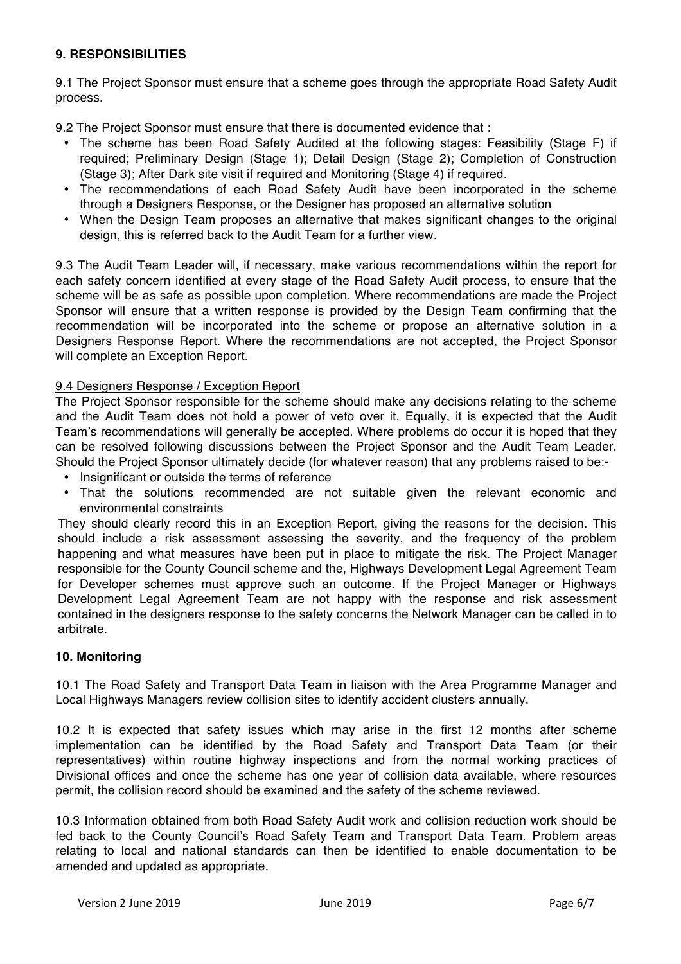## **9. RESPONSIBILITIES**

9.1 The Project Sponsor must ensure that a scheme goes through the appropriate Road Safety Audit process.

9.2 The Project Sponsor must ensure that there is documented evidence that :

- The scheme has been Road Safety Audited at the following stages: Feasibility (Stage F) if required; Preliminary Design (Stage 1); Detail Design (Stage 2); Completion of Construction (Stage 3); After Dark site visit if required and Monitoring (Stage 4) if required.
- The recommendations of each Road Safety Audit have been incorporated in the scheme through a Designers Response, or the Designer has proposed an alternative solution
- When the Design Team proposes an alternative that makes significant changes to the original design, this is referred back to the Audit Team for a further view.

9.3 The Audit Team Leader will, if necessary, make various recommendations within the report for each safety concern identified at every stage of the Road Safety Audit process, to ensure that the scheme will be as safe as possible upon completion. Where recommendations are made the Project Sponsor will ensure that a written response is provided by the Design Team confirming that the recommendation will be incorporated into the scheme or propose an alternative solution in a Designers Response Report. Where the recommendations are not accepted, the Project Sponsor will complete an Exception Report.

## 9.4 Designers Response / Exception Report

The Project Sponsor responsible for the scheme should make any decisions relating to the scheme and the Audit Team does not hold a power of veto over it. Equally, it is expected that the Audit Team's recommendations will generally be accepted. Where problems do occur it is hoped that they can be resolved following discussions between the Project Sponsor and the Audit Team Leader. Should the Project Sponsor ultimately decide (for whatever reason) that any problems raised to be:-

- Insignificant or outside the terms of reference
- That the solutions recommended are not suitable given the relevant economic and environmental constraints

They should clearly record this in an Exception Report, giving the reasons for the decision. This should include a risk assessment assessing the severity, and the frequency of the problem happening and what measures have been put in place to mitigate the risk. The Project Manager responsible for the County Council scheme and the, Highways Development Legal Agreement Team for Developer schemes must approve such an outcome. If the Project Manager or Highways Development Legal Agreement Team are not happy with the response and risk assessment contained in the designers response to the safety concerns the Network Manager can be called in to arbitrate.

#### **10. Monitoring**

10.1 The Road Safety and Transport Data Team in liaison with the Area Programme Manager and Local Highways Managers review collision sites to identify accident clusters annually.

10.2 It is expected that safety issues which may arise in the first 12 months after scheme implementation can be identified by the Road Safety and Transport Data Team (or their representatives) within routine highway inspections and from the normal working practices of Divisional offices and once the scheme has one year of collision data available, where resources permit, the collision record should be examined and the safety of the scheme reviewed.

10.3 Information obtained from both Road Safety Audit work and collision reduction work should be fed back to the County Council's Road Safety Team and Transport Data Team. Problem areas relating to local and national standards can then be identified to enable documentation to be amended and updated as appropriate.